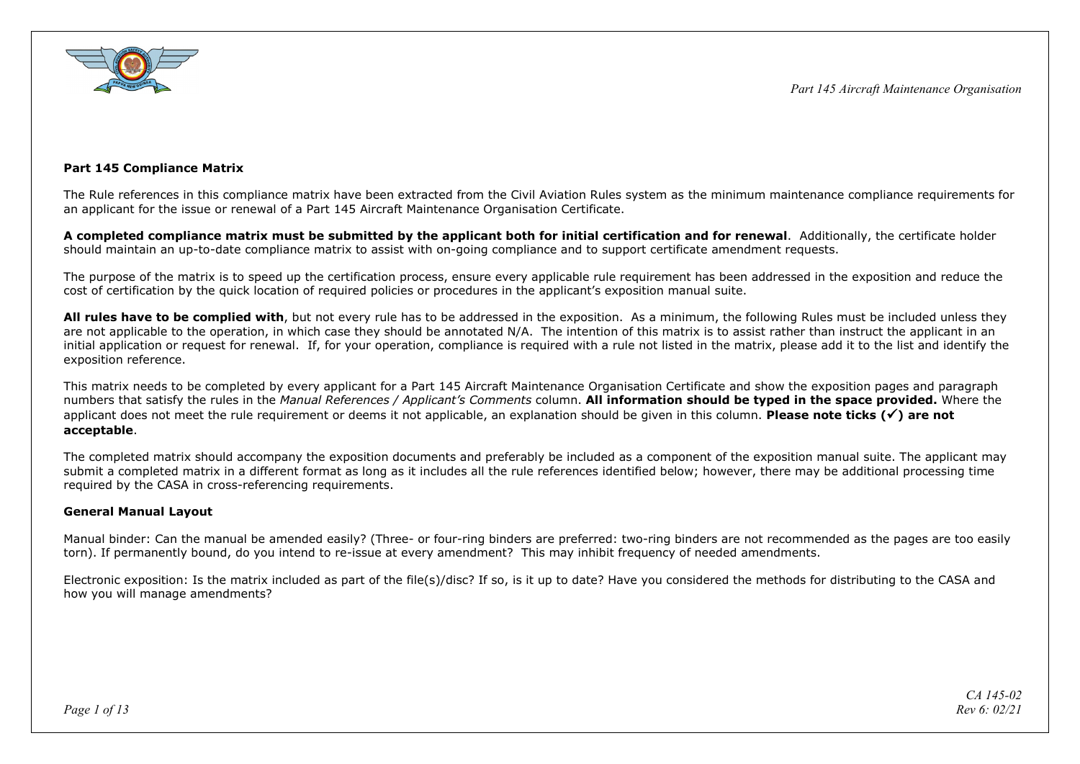

## **Part 145 Compliance Matrix**

The Rule references in this compliance matrix have been extracted from the Civil Aviation Rules system as the minimum maintenance compliance requirements for an applicant for the issue or renewal of a Part 145 Aircraft Maintenance Organisation Certificate.

**A completed compliance matrix must be submitted by the applicant both for initial certification and for renewal**. Additionally, the certificate holder should maintain an up-to-date compliance matrix to assist with on-going compliance and to support certificate amendment requests.

The purpose of the matrix is to speed up the certification process, ensure every applicable rule requirement has been addressed in the exposition and reduce the cost of certification by the quick location of required policies or procedures in the applicant's exposition manual suite.

**All rules have to be complied with**, but not every rule has to be addressed in the exposition. As a minimum, the following Rules must be included unless they are not applicable to the operation, in which case they should be annotated N/A. The intention of this matrix is to assist rather than instruct the applicant in an initial application or request for renewal. If, for your operation, compliance is required with a rule not listed in the matrix, please add it to the list and identify the exposition reference.

This matrix needs to be completed by every applicant for a Part 145 Aircraft Maintenance Organisation Certificate and show the exposition pages and paragraph numbers that satisfy the rules in the *Manual References / Applicant's Comments* column. **All information should be typed in the space provided.** Where the applicant does not meet the rule requirement or deems it not applicable, an explanation should be given in this column. **Please note ticks () are not acceptable**.

The completed matrix should accompany the exposition documents and preferably be included as a component of the exposition manual suite. The applicant may submit a completed matrix in a different format as long as it includes all the rule references identified below; however, there may be additional processing time required by the CASA in cross-referencing requirements.

## **General Manual Layout**

Manual binder: Can the manual be amended easily? (Three- or four-ring binders are preferred: two-ring binders are not recommended as the pages are too easily torn). If permanently bound, do you intend to re-issue at every amendment? This may inhibit frequency of needed amendments.

Electronic exposition: Is the matrix included as part of the file(s)/disc? If so, is it up to date? Have you considered the methods for distributing to the CASA and how you will manage amendments?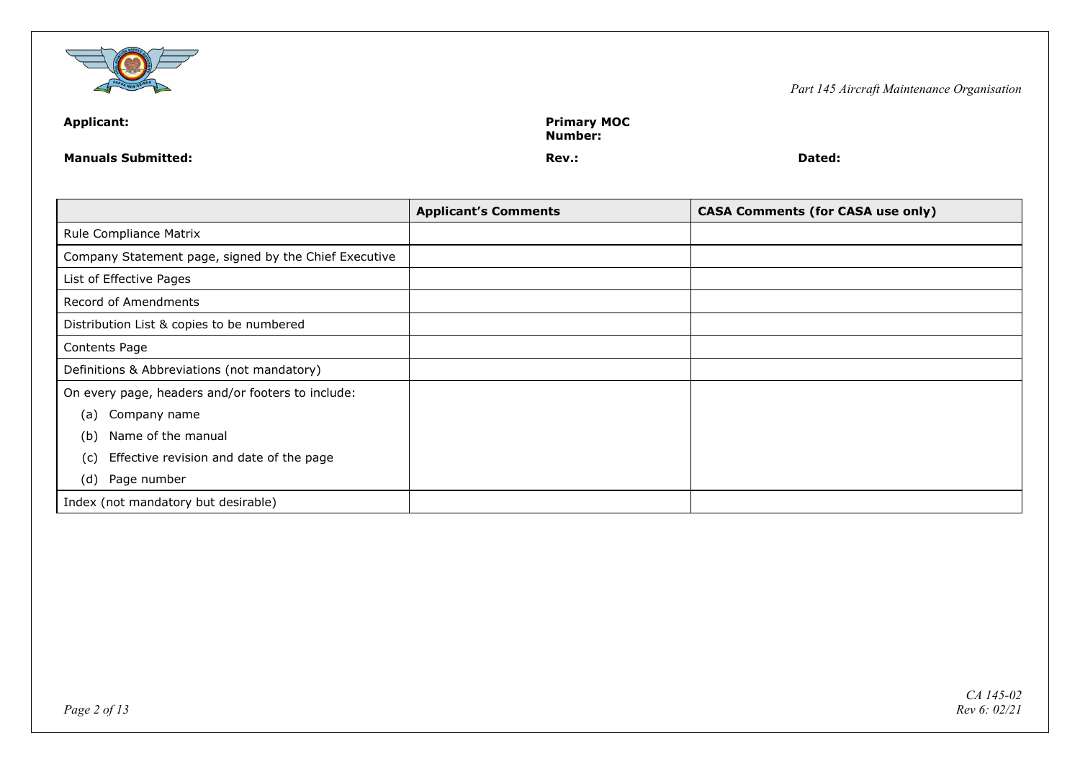

| <b>Applicant:</b>         | <b>Primary MOC</b><br>Number: |        |  |
|---------------------------|-------------------------------|--------|--|
| <b>Manuals Submitted:</b> | Rev.:                         | Dated: |  |

|                                                       | <b>Applicant's Comments</b> | <b>CASA Comments (for CASA use only)</b> |
|-------------------------------------------------------|-----------------------------|------------------------------------------|
| Rule Compliance Matrix                                |                             |                                          |
| Company Statement page, signed by the Chief Executive |                             |                                          |
| List of Effective Pages                               |                             |                                          |
| Record of Amendments                                  |                             |                                          |
| Distribution List & copies to be numbered             |                             |                                          |
| Contents Page                                         |                             |                                          |
| Definitions & Abbreviations (not mandatory)           |                             |                                          |
| On every page, headers and/or footers to include:     |                             |                                          |
| Company name<br>(a)                                   |                             |                                          |
| Name of the manual<br>(b)                             |                             |                                          |
| Effective revision and date of the page<br>(c)        |                             |                                          |
| Page number<br>(d)                                    |                             |                                          |
| Index (not mandatory but desirable)                   |                             |                                          |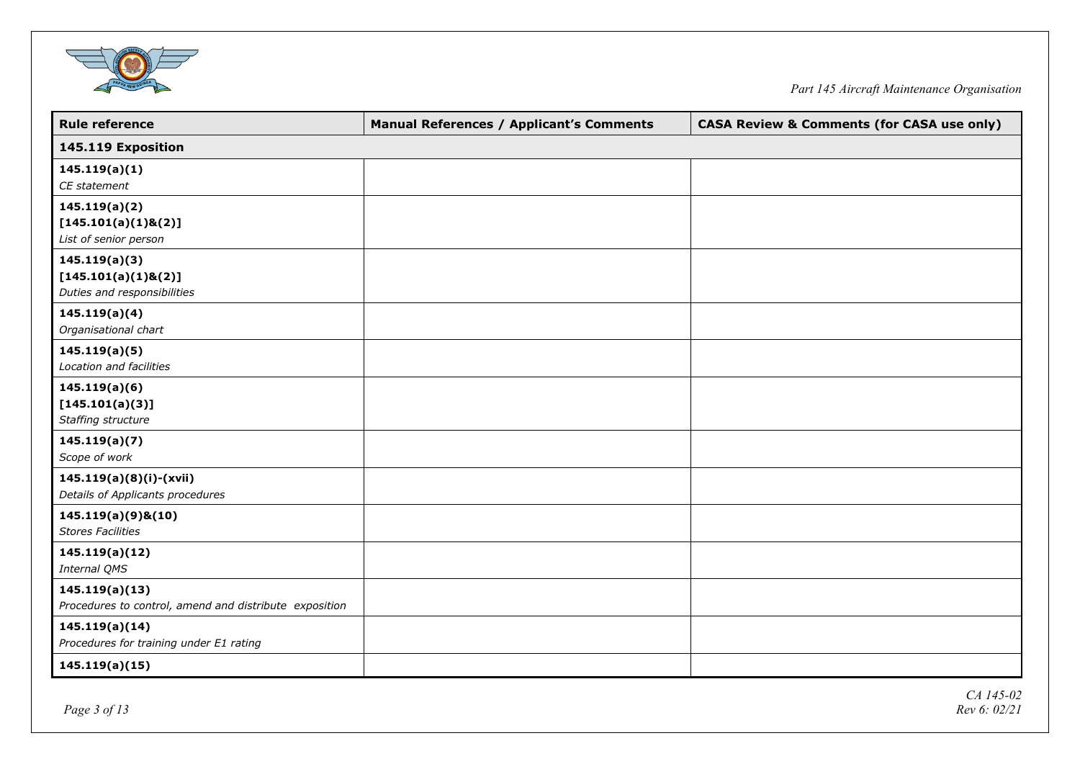

| <b>Rule reference</b>                                  | <b>Manual References / Applicant's Comments</b> | <b>CASA Review &amp; Comments (for CASA use only)</b> |
|--------------------------------------------------------|-------------------------------------------------|-------------------------------------------------------|
| 145.119 Exposition                                     |                                                 |                                                       |
| 145.119(a)(1)                                          |                                                 |                                                       |
| CE statement                                           |                                                 |                                                       |
| 145.119(a)(2)                                          |                                                 |                                                       |
| [145.101(a)(1)8(2)]                                    |                                                 |                                                       |
| List of senior person                                  |                                                 |                                                       |
| 145.119(a)(3)                                          |                                                 |                                                       |
| [145.101(a)(1)8(2)]                                    |                                                 |                                                       |
| Duties and responsibilities                            |                                                 |                                                       |
| 145.119(a)(4)                                          |                                                 |                                                       |
| Organisational chart                                   |                                                 |                                                       |
| 145.119(a)(5)                                          |                                                 |                                                       |
| Location and facilities                                |                                                 |                                                       |
| 145.119(a)(6)                                          |                                                 |                                                       |
| [145.101(a)(3)]                                        |                                                 |                                                       |
| Staffing structure                                     |                                                 |                                                       |
| 145.119(a)(7)                                          |                                                 |                                                       |
| Scope of work                                          |                                                 |                                                       |
| 145.119(a)(8)(i)-(xvii)                                |                                                 |                                                       |
| Details of Applicants procedures                       |                                                 |                                                       |
| 145.119(a)(9)&(10)                                     |                                                 |                                                       |
| <b>Stores Facilities</b>                               |                                                 |                                                       |
| 145.119(a)(12)                                         |                                                 |                                                       |
| Internal QMS                                           |                                                 |                                                       |
| 145.119(a)(13)                                         |                                                 |                                                       |
| Procedures to control, amend and distribute exposition |                                                 |                                                       |
| 145.119(a)(14)                                         |                                                 |                                                       |
| Procedures for training under E1 rating                |                                                 |                                                       |
| 145.119(a)(15)                                         |                                                 |                                                       |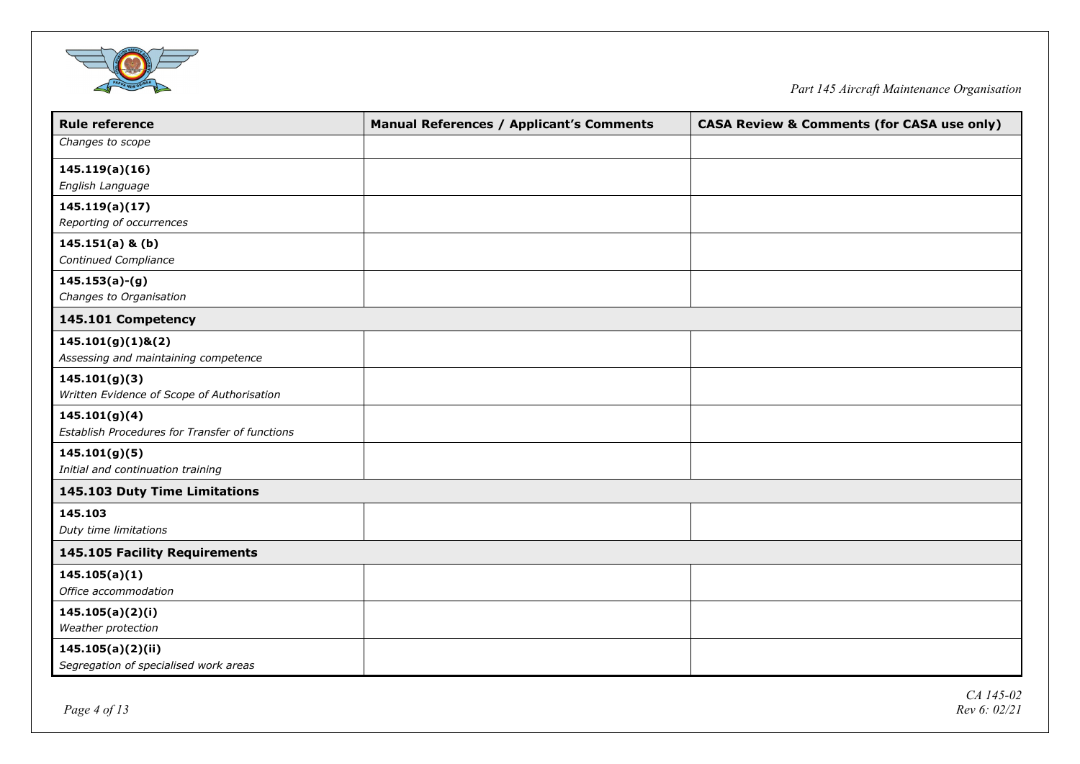

| <b>Rule reference</b>                          | <b>Manual References / Applicant's Comments</b> | <b>CASA Review &amp; Comments (for CASA use only)</b> |
|------------------------------------------------|-------------------------------------------------|-------------------------------------------------------|
| Changes to scope                               |                                                 |                                                       |
| 145.119(a)(16)                                 |                                                 |                                                       |
| English Language                               |                                                 |                                                       |
| 145.119(a)(17)                                 |                                                 |                                                       |
| Reporting of occurrences                       |                                                 |                                                       |
| $145.151(a)$ & (b)                             |                                                 |                                                       |
| Continued Compliance                           |                                                 |                                                       |
| $145.153(a)-(g)$                               |                                                 |                                                       |
| Changes to Organisation                        |                                                 |                                                       |
| 145.101 Competency                             |                                                 |                                                       |
| $145.101(g)(1)$ &(2)                           |                                                 |                                                       |
| Assessing and maintaining competence           |                                                 |                                                       |
| 145.101(g)(3)                                  |                                                 |                                                       |
| Written Evidence of Scope of Authorisation     |                                                 |                                                       |
| 145.101(g)(4)                                  |                                                 |                                                       |
| Establish Procedures for Transfer of functions |                                                 |                                                       |
| 145.101(g)(5)                                  |                                                 |                                                       |
| Initial and continuation training              |                                                 |                                                       |
| 145.103 Duty Time Limitations                  |                                                 |                                                       |
| 145.103                                        |                                                 |                                                       |
| Duty time limitations                          |                                                 |                                                       |
| 145.105 Facility Requirements                  |                                                 |                                                       |
| 145.105(a)(1)                                  |                                                 |                                                       |
| Office accommodation                           |                                                 |                                                       |
| 145.105(a)(2)(i)                               |                                                 |                                                       |
| Weather protection                             |                                                 |                                                       |
| 145.105(a)(2)(ii)                              |                                                 |                                                       |
| Segregation of specialised work areas          |                                                 |                                                       |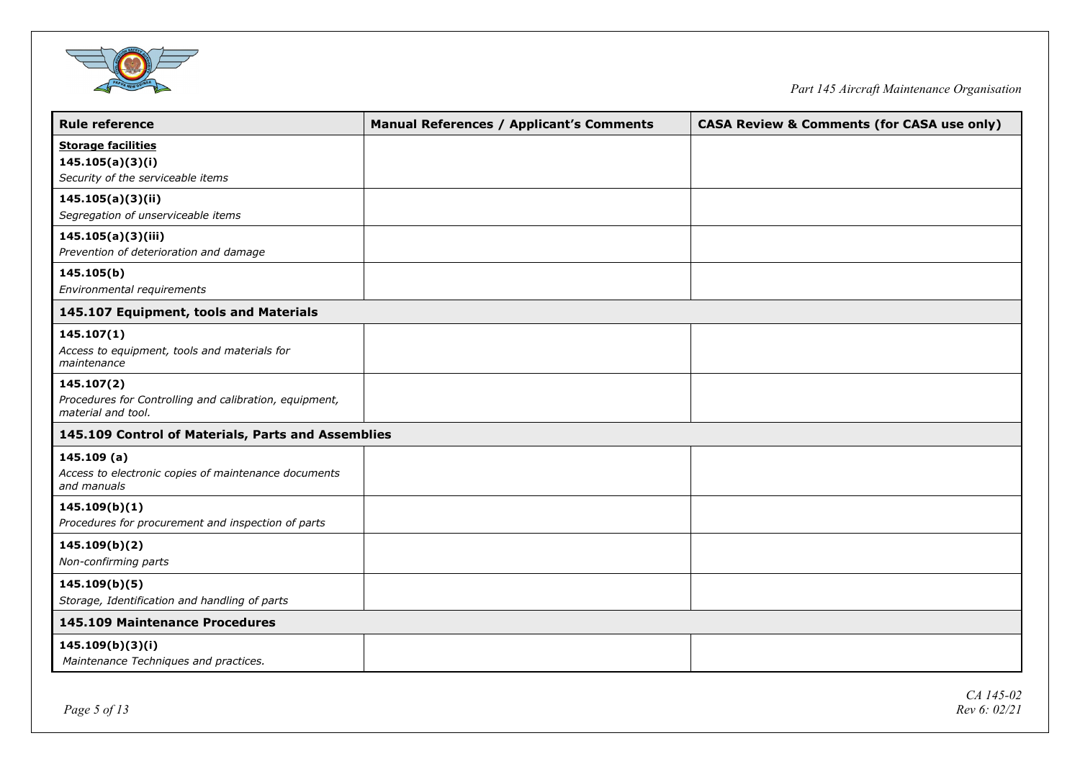

| <b>Manual References / Applicant's Comments</b>    | <b>CASA Review &amp; Comments (for CASA use only)</b> |
|----------------------------------------------------|-------------------------------------------------------|
|                                                    |                                                       |
|                                                    |                                                       |
|                                                    |                                                       |
|                                                    |                                                       |
|                                                    |                                                       |
|                                                    |                                                       |
|                                                    |                                                       |
|                                                    |                                                       |
|                                                    |                                                       |
|                                                    |                                                       |
|                                                    |                                                       |
|                                                    |                                                       |
|                                                    |                                                       |
|                                                    |                                                       |
|                                                    |                                                       |
| 145.109 Control of Materials, Parts and Assemblies |                                                       |
|                                                    |                                                       |
|                                                    |                                                       |
|                                                    |                                                       |
|                                                    |                                                       |
|                                                    |                                                       |
|                                                    |                                                       |
|                                                    |                                                       |
|                                                    |                                                       |
|                                                    |                                                       |
|                                                    |                                                       |
|                                                    |                                                       |
|                                                    |                                                       |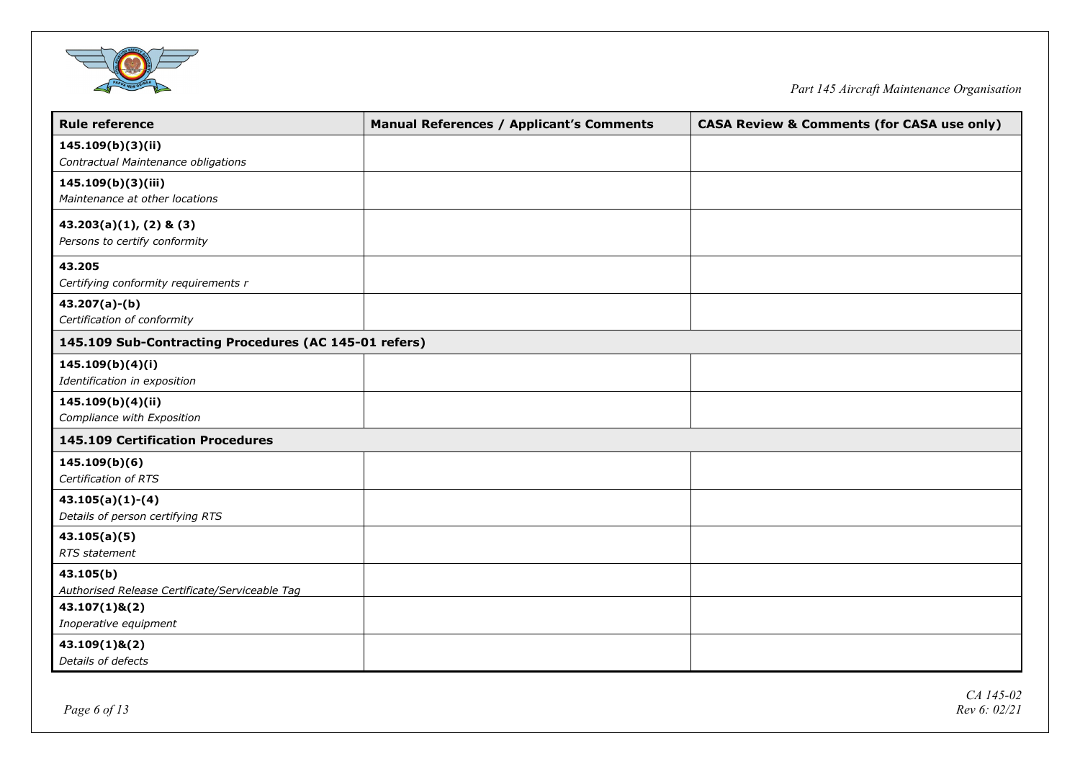

| <b>Rule reference</b>                                           | <b>Manual References / Applicant's Comments</b> | <b>CASA Review &amp; Comments (for CASA use only)</b> |
|-----------------------------------------------------------------|-------------------------------------------------|-------------------------------------------------------|
| 145.109(b)(3)(ii)<br>Contractual Maintenance obligations        |                                                 |                                                       |
| 145.109(b)(3)(iii)<br>Maintenance at other locations            |                                                 |                                                       |
| $43.203(a)(1)$ , $(2)$ & $(3)$<br>Persons to certify conformity |                                                 |                                                       |
| 43.205<br>Certifying conformity requirements r                  |                                                 |                                                       |
| $43.207(a)-(b)$<br>Certification of conformity                  |                                                 |                                                       |
| 145.109 Sub-Contracting Procedures (AC 145-01 refers)           |                                                 |                                                       |
| 145.109(b)(4)(i)<br>Identification in exposition                |                                                 |                                                       |
| 145.109(b)(4)(ii)<br>Compliance with Exposition                 |                                                 |                                                       |
| 145.109 Certification Procedures                                |                                                 |                                                       |
| 145.109(b)(6)<br>Certification of RTS                           |                                                 |                                                       |
| $43.105(a)(1)-(4)$<br>Details of person certifying RTS          |                                                 |                                                       |
| 43.105(a)(5)<br>RTS statement                                   |                                                 |                                                       |
| 43.105(b)<br>Authorised Release Certificate/Serviceable Tag     |                                                 |                                                       |
| $43.107(1)$ & $(2)$<br>Inoperative equipment                    |                                                 |                                                       |
| $43.109(1)$ & $(2)$<br>Details of defects                       |                                                 |                                                       |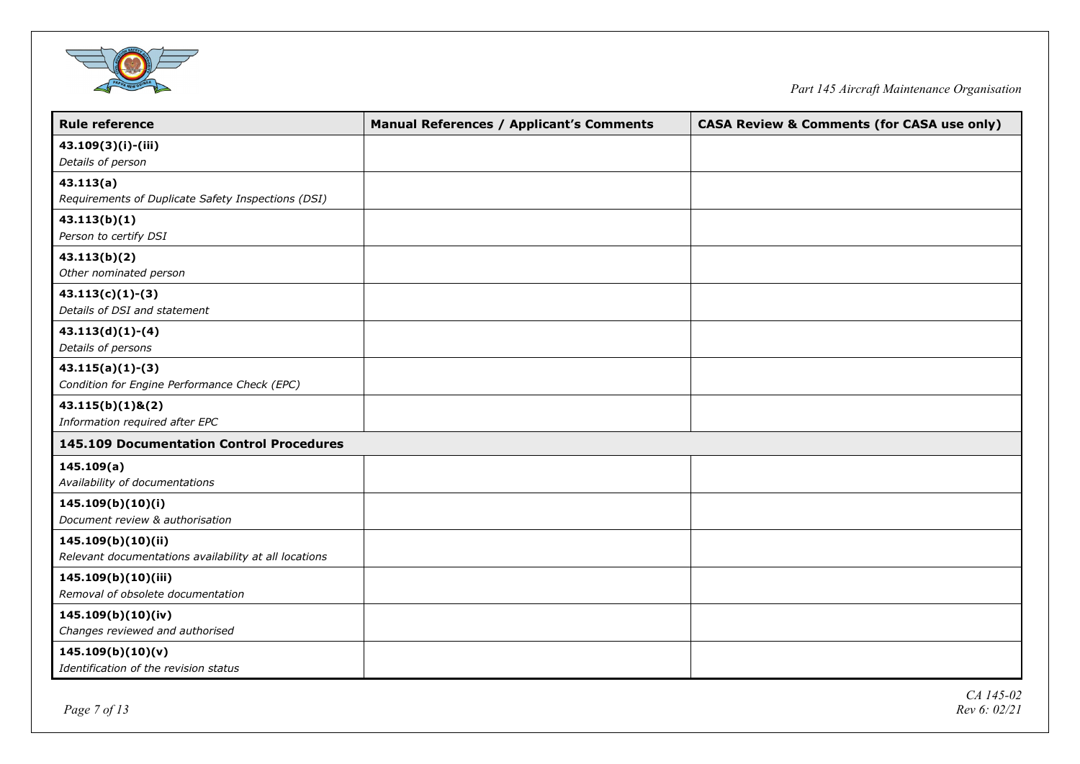

| <b>Rule reference</b>                                 | <b>Manual References / Applicant's Comments</b> | <b>CASA Review &amp; Comments (for CASA use only)</b> |
|-------------------------------------------------------|-------------------------------------------------|-------------------------------------------------------|
| 43.109(3)(i)-(iii)                                    |                                                 |                                                       |
| Details of person                                     |                                                 |                                                       |
| 43.113(a)                                             |                                                 |                                                       |
| Requirements of Duplicate Safety Inspections (DSI)    |                                                 |                                                       |
| 43.113(b)(1)                                          |                                                 |                                                       |
| Person to certify DSI                                 |                                                 |                                                       |
| 43.113(b)(2)                                          |                                                 |                                                       |
| Other nominated person                                |                                                 |                                                       |
| $43.113(c)(1)-(3)$                                    |                                                 |                                                       |
| Details of DSI and statement                          |                                                 |                                                       |
| $43.113(d)(1)-(4)$                                    |                                                 |                                                       |
| Details of persons                                    |                                                 |                                                       |
| $43.115(a)(1)-(3)$                                    |                                                 |                                                       |
| Condition for Engine Performance Check (EPC)          |                                                 |                                                       |
| $43.115(b)(1)$ &(2)                                   |                                                 |                                                       |
| Information required after EPC                        |                                                 |                                                       |
| 145.109 Documentation Control Procedures              |                                                 |                                                       |
| 145.109(a)                                            |                                                 |                                                       |
| Availability of documentations                        |                                                 |                                                       |
| 145.109(b)(10)(i)                                     |                                                 |                                                       |
| Document review & authorisation                       |                                                 |                                                       |
| 145.109(b)(10)(ii)                                    |                                                 |                                                       |
| Relevant documentations availability at all locations |                                                 |                                                       |
| 145.109(b)(10)(iii)                                   |                                                 |                                                       |
| Removal of obsolete documentation                     |                                                 |                                                       |
| 145.109(b)(10)(iv)                                    |                                                 |                                                       |
| Changes reviewed and authorised                       |                                                 |                                                       |
| 145.109(b)(10)(v)                                     |                                                 |                                                       |
| Identification of the revision status                 |                                                 |                                                       |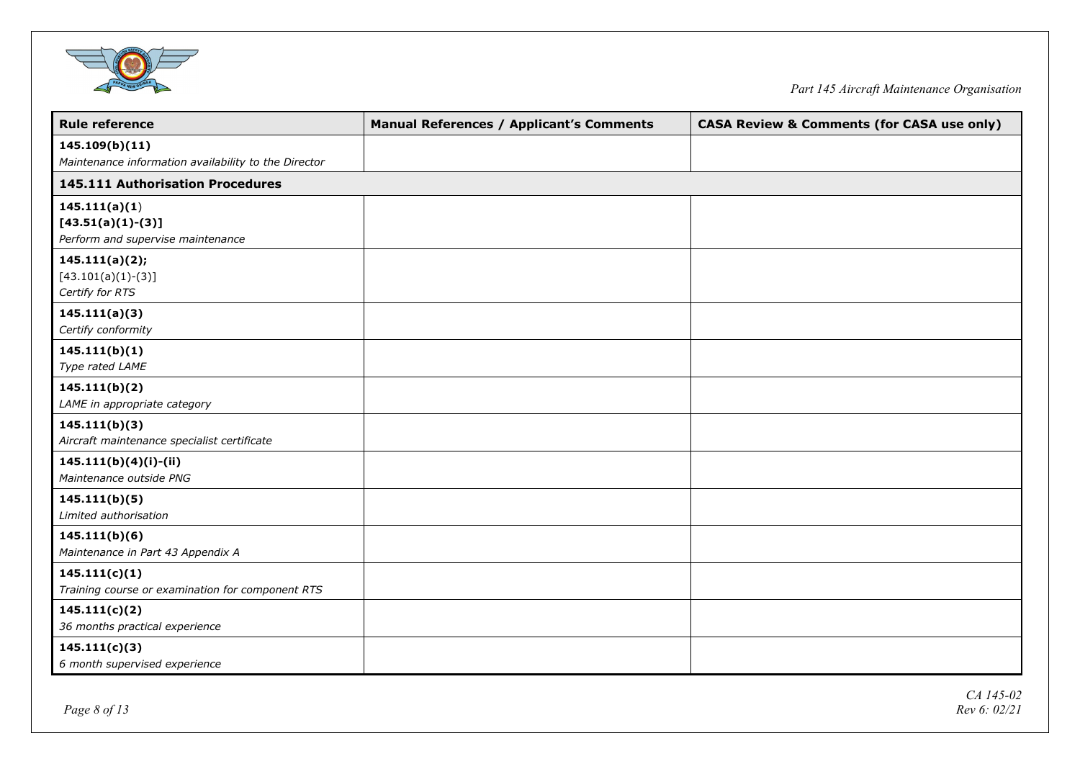

| <b>Rule reference</b>                                    | <b>Manual References / Applicant's Comments</b> | <b>CASA Review &amp; Comments (for CASA use only)</b> |
|----------------------------------------------------------|-------------------------------------------------|-------------------------------------------------------|
| 145.109(b)(11)                                           |                                                 |                                                       |
| Maintenance information availability to the Director     |                                                 |                                                       |
| 145.111 Authorisation Procedures                         |                                                 |                                                       |
| 145.111(a)(1)                                            |                                                 |                                                       |
| $[43.51(a)(1)-(3)]$<br>Perform and supervise maintenance |                                                 |                                                       |
|                                                          |                                                 |                                                       |
| 145.111(a)(2);<br>$[43.101(a)(1)-(3)]$                   |                                                 |                                                       |
| Certify for RTS                                          |                                                 |                                                       |
| 145.111(a)(3)                                            |                                                 |                                                       |
| Certify conformity                                       |                                                 |                                                       |
| 145.111(b)(1)                                            |                                                 |                                                       |
| Type rated LAME                                          |                                                 |                                                       |
| 145.111(b)(2)                                            |                                                 |                                                       |
| LAME in appropriate category                             |                                                 |                                                       |
| 145.111(b)(3)                                            |                                                 |                                                       |
| Aircraft maintenance specialist certificate              |                                                 |                                                       |
| $145.111(b)(4)(i)-(ii)$                                  |                                                 |                                                       |
| Maintenance outside PNG                                  |                                                 |                                                       |
| 145.111(b)(5)                                            |                                                 |                                                       |
| Limited authorisation                                    |                                                 |                                                       |
| 145.111(b)(6)                                            |                                                 |                                                       |
| Maintenance in Part 43 Appendix A                        |                                                 |                                                       |
| 145.111(c)(1)                                            |                                                 |                                                       |
| Training course or examination for component RTS         |                                                 |                                                       |
| 145.111(c)(2)                                            |                                                 |                                                       |
| 36 months practical experience                           |                                                 |                                                       |
| 145.111(c)(3)                                            |                                                 |                                                       |
| 6 month supervised experience                            |                                                 |                                                       |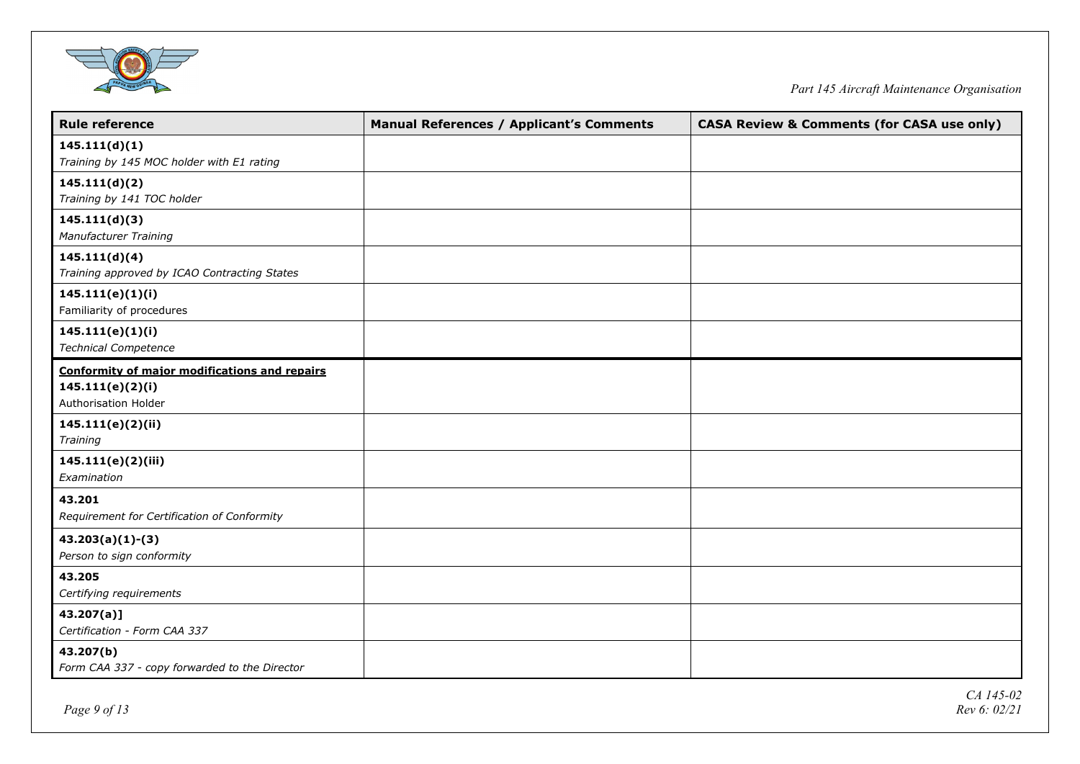

| <b>Rule reference</b>                                | <b>Manual References / Applicant's Comments</b> | <b>CASA Review &amp; Comments (for CASA use only)</b> |
|------------------------------------------------------|-------------------------------------------------|-------------------------------------------------------|
| 145.111(d)(1)                                        |                                                 |                                                       |
| Training by 145 MOC holder with E1 rating            |                                                 |                                                       |
| 145.111(d)(2)                                        |                                                 |                                                       |
| Training by 141 TOC holder                           |                                                 |                                                       |
| 145.111(d)(3)                                        |                                                 |                                                       |
| Manufacturer Training                                |                                                 |                                                       |
| 145.111(d)(4)                                        |                                                 |                                                       |
| Training approved by ICAO Contracting States         |                                                 |                                                       |
| 145.111(e)(1)(i)                                     |                                                 |                                                       |
| Familiarity of procedures                            |                                                 |                                                       |
| 145.111(e)(1)(i)                                     |                                                 |                                                       |
| <b>Technical Competence</b>                          |                                                 |                                                       |
| <b>Conformity of major modifications and repairs</b> |                                                 |                                                       |
| 145.111(e)(2)(i)                                     |                                                 |                                                       |
| Authorisation Holder                                 |                                                 |                                                       |
| 145.111(e)(2)(ii)                                    |                                                 |                                                       |
| Training                                             |                                                 |                                                       |
| 145.111(e)(2)(iii)                                   |                                                 |                                                       |
| Examination                                          |                                                 |                                                       |
| 43.201                                               |                                                 |                                                       |
| Requirement for Certification of Conformity          |                                                 |                                                       |
| $43.203(a)(1)-(3)$                                   |                                                 |                                                       |
| Person to sign conformity                            |                                                 |                                                       |
| 43.205                                               |                                                 |                                                       |
| Certifying requirements                              |                                                 |                                                       |
| $43.207(a)$ ]                                        |                                                 |                                                       |
| Certification - Form CAA 337                         |                                                 |                                                       |
| 43.207(b)                                            |                                                 |                                                       |
| Form CAA 337 - copy forwarded to the Director        |                                                 |                                                       |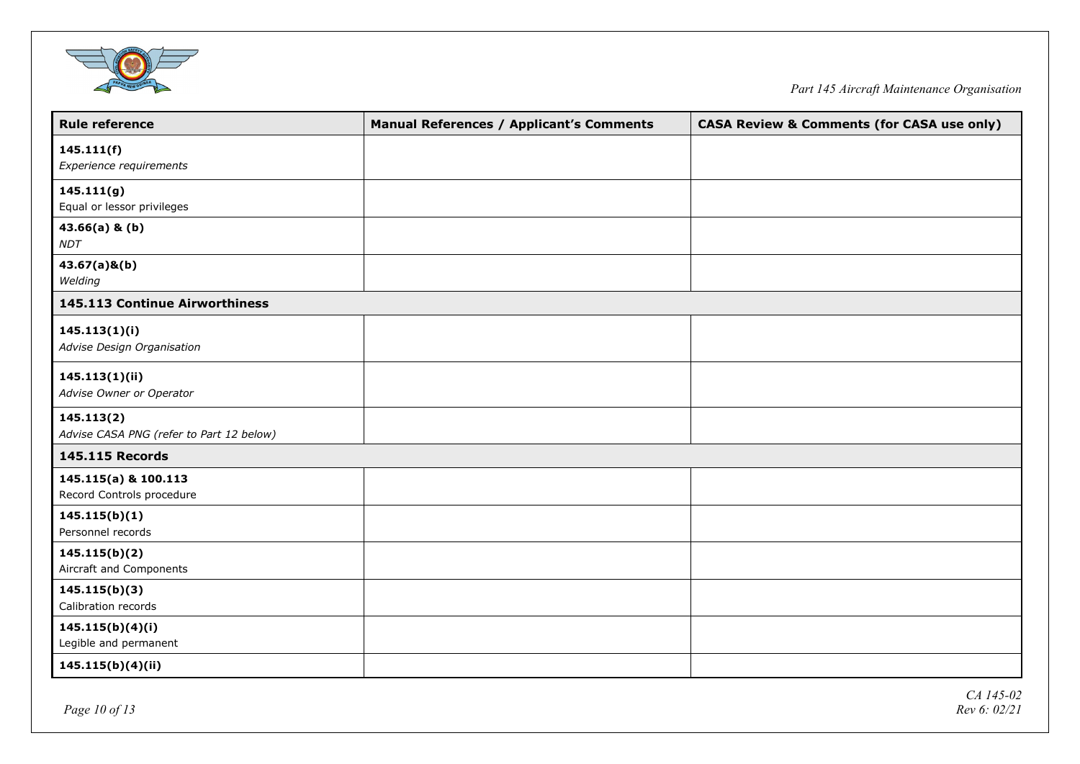

| <b>Rule reference</b>                                  | <b>Manual References / Applicant's Comments</b> | <b>CASA Review &amp; Comments (for CASA use only)</b> |
|--------------------------------------------------------|-------------------------------------------------|-------------------------------------------------------|
| 145.111(f)<br>Experience requirements                  |                                                 |                                                       |
| 145.111(g)<br>Equal or lessor privileges               |                                                 |                                                       |
| $43.66(a)$ & (b)<br><b>NDT</b>                         |                                                 |                                                       |
| $43.67(a)$ &(b)<br>Welding                             |                                                 |                                                       |
| 145.113 Continue Airworthiness                         |                                                 |                                                       |
| 145.113(1)(i)<br>Advise Design Organisation            |                                                 |                                                       |
| 145.113(1)(ii)<br>Advise Owner or Operator             |                                                 |                                                       |
| 145.113(2)<br>Advise CASA PNG (refer to Part 12 below) |                                                 |                                                       |
| <b>145.115 Records</b>                                 |                                                 |                                                       |
| 145.115(a) & 100.113<br>Record Controls procedure      |                                                 |                                                       |
| 145.115(b)(1)<br>Personnel records                     |                                                 |                                                       |
| 145.115(b)(2)<br>Aircraft and Components               |                                                 |                                                       |
| 145.115(b)(3)<br>Calibration records                   |                                                 |                                                       |
| 145.115(b)(4)(i)<br>Legible and permanent              |                                                 |                                                       |
| 145.115(b)(4)(ii)                                      |                                                 |                                                       |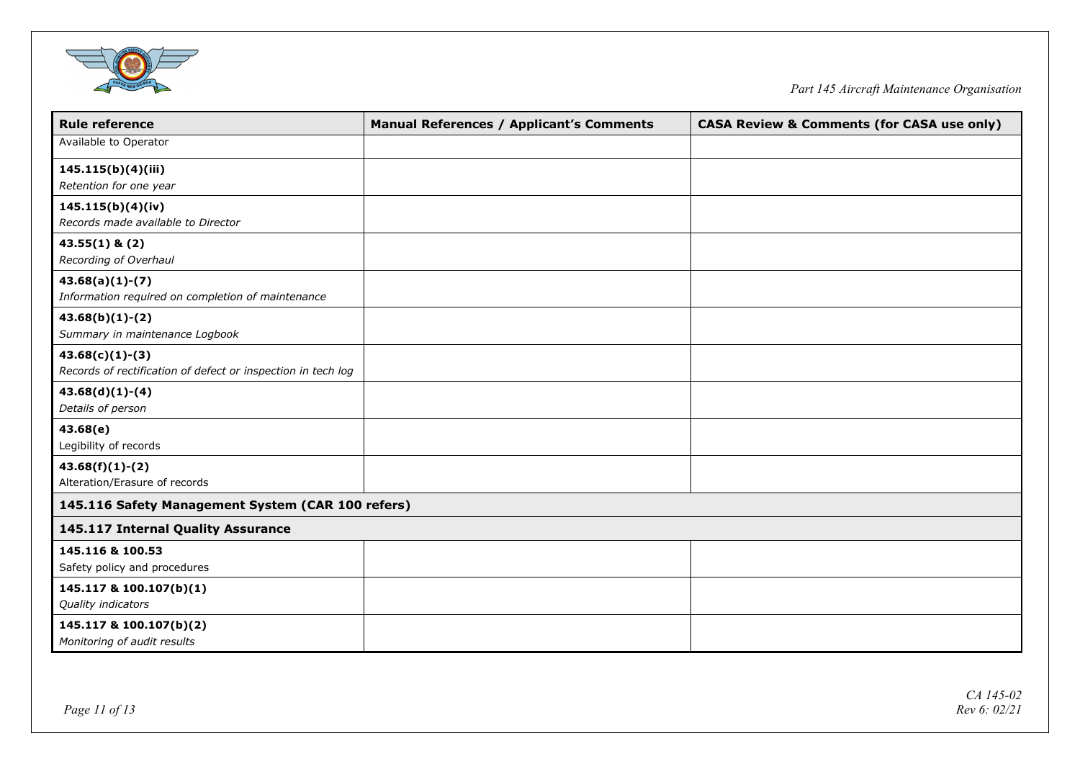

| <b>Rule reference</b>                                        | <b>Manual References / Applicant's Comments</b> | <b>CASA Review &amp; Comments (for CASA use only)</b> |
|--------------------------------------------------------------|-------------------------------------------------|-------------------------------------------------------|
| Available to Operator                                        |                                                 |                                                       |
| 145.115(b)(4)(iii)                                           |                                                 |                                                       |
| Retention for one year                                       |                                                 |                                                       |
| 145.115(b)(4)(iv)                                            |                                                 |                                                       |
| Records made available to Director                           |                                                 |                                                       |
| $43.55(1)$ & $(2)$                                           |                                                 |                                                       |
| Recording of Overhaul                                        |                                                 |                                                       |
| $43.68(a)(1)-(7)$                                            |                                                 |                                                       |
| Information required on completion of maintenance            |                                                 |                                                       |
| $43.68(b)(1)-(2)$                                            |                                                 |                                                       |
| Summary in maintenance Logbook                               |                                                 |                                                       |
| $43.68(c)(1)-(3)$                                            |                                                 |                                                       |
| Records of rectification of defect or inspection in tech log |                                                 |                                                       |
| $43.68(d)(1)-(4)$                                            |                                                 |                                                       |
| Details of person                                            |                                                 |                                                       |
| 43.68(e)                                                     |                                                 |                                                       |
| Legibility of records                                        |                                                 |                                                       |
| $43.68(f)(1)-(2)$                                            |                                                 |                                                       |
| Alteration/Erasure of records                                |                                                 |                                                       |
| 145.116 Safety Management System (CAR 100 refers)            |                                                 |                                                       |
| 145.117 Internal Quality Assurance                           |                                                 |                                                       |
| 145.116 & 100.53                                             |                                                 |                                                       |
| Safety policy and procedures                                 |                                                 |                                                       |
| 145.117 & 100.107(b)(1)                                      |                                                 |                                                       |
| Quality indicators                                           |                                                 |                                                       |
| 145.117 & 100.107(b)(2)                                      |                                                 |                                                       |
| Monitoring of audit results                                  |                                                 |                                                       |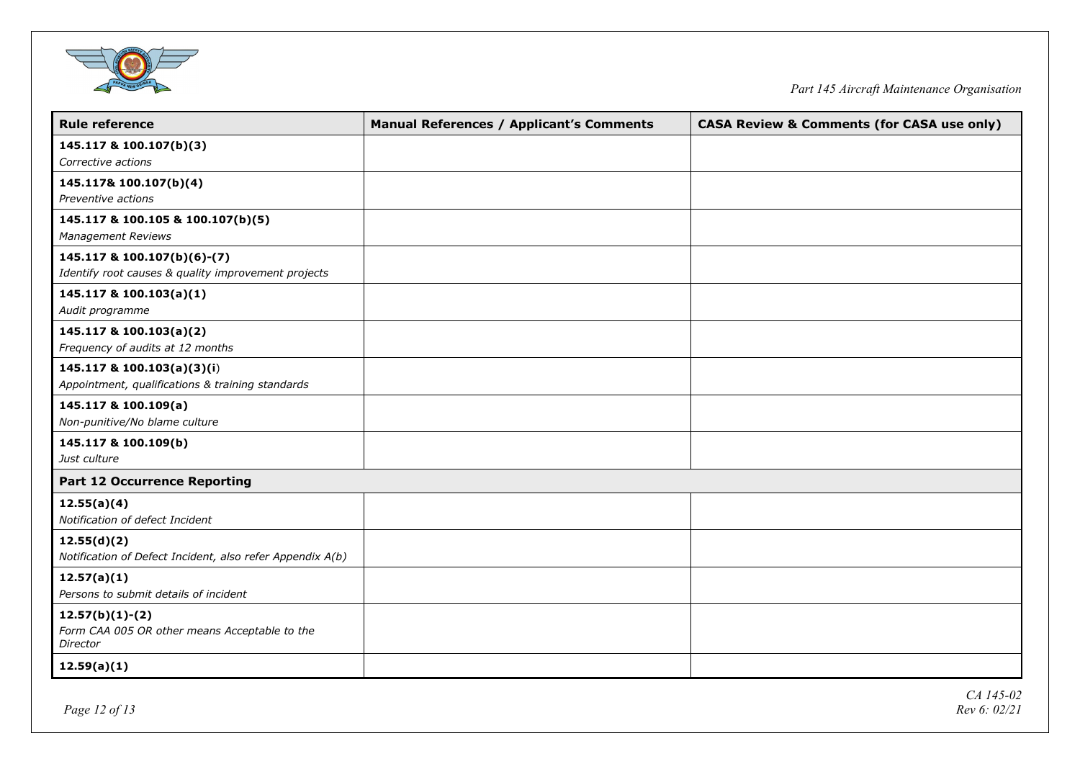

| <b>Rule reference</b>                                     | <b>Manual References / Applicant's Comments</b> | <b>CASA Review &amp; Comments (for CASA use only)</b> |
|-----------------------------------------------------------|-------------------------------------------------|-------------------------------------------------------|
| 145.117 & 100.107(b)(3)                                   |                                                 |                                                       |
| Corrective actions                                        |                                                 |                                                       |
| 145.117& 100.107(b)(4)                                    |                                                 |                                                       |
| Preventive actions                                        |                                                 |                                                       |
| 145.117 & 100.105 & 100.107(b)(5)                         |                                                 |                                                       |
| <b>Management Reviews</b>                                 |                                                 |                                                       |
| 145.117 & 100.107(b)(6)-(7)                               |                                                 |                                                       |
| Identify root causes & quality improvement projects       |                                                 |                                                       |
| 145.117 & 100.103(a)(1)                                   |                                                 |                                                       |
| Audit programme                                           |                                                 |                                                       |
| 145.117 & 100.103(a)(2)                                   |                                                 |                                                       |
| Frequency of audits at 12 months                          |                                                 |                                                       |
| 145.117 & 100.103(a)(3)(i)                                |                                                 |                                                       |
| Appointment, qualifications & training standards          |                                                 |                                                       |
| 145.117 & 100.109(a)                                      |                                                 |                                                       |
| Non-punitive/No blame culture                             |                                                 |                                                       |
| 145.117 & 100.109(b)                                      |                                                 |                                                       |
| Just culture                                              |                                                 |                                                       |
| <b>Part 12 Occurrence Reporting</b>                       |                                                 |                                                       |
| 12.55(a)(4)                                               |                                                 |                                                       |
| Notification of defect Incident                           |                                                 |                                                       |
| 12.55(d)(2)                                               |                                                 |                                                       |
| Notification of Defect Incident, also refer Appendix A(b) |                                                 |                                                       |
| 12.57(a)(1)                                               |                                                 |                                                       |
| Persons to submit details of incident                     |                                                 |                                                       |
| $12.57(b)(1)-(2)$                                         |                                                 |                                                       |
| Form CAA 005 OR other means Acceptable to the<br>Director |                                                 |                                                       |
| 12.59(a)(1)                                               |                                                 |                                                       |